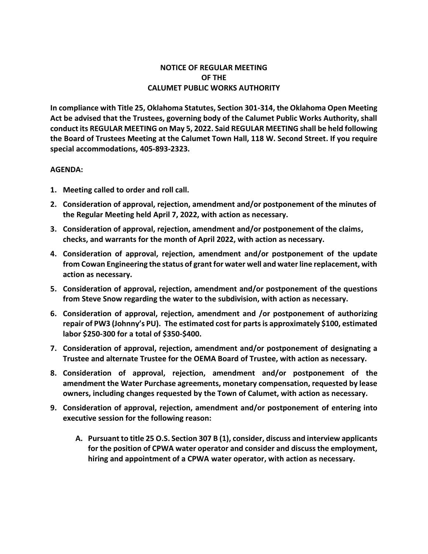## **NOTICE OF REGULAR MEETING OF THE CALUMET PUBLIC WORKS AUTHORITY**

**In compliance with Title 25, Oklahoma Statutes, Section 301-314, the Oklahoma Open Meeting Act be advised that the Trustees, governing body of the Calumet Public Works Authority, shall conduct its REGULAR MEETING on May 5, 2022. Said REGULAR MEETING shall be held following the Board of Trustees Meeting at the Calumet Town Hall, 118 W. Second Street. If you require special accommodations, 405-893-2323.**

## **AGENDA:**

- **1. Meeting called to order and roll call.**
- **2. Consideration of approval, rejection, amendment and/or postponement of the minutes of the Regular Meeting held April 7, 2022, with action as necessary.**
- **3. Consideration of approval, rejection, amendment and/or postponement of the claims, checks, and warrants for the month of April 2022, with action as necessary.**
- **4. Consideration of approval, rejection, amendment and/or postponement of the update from Cowan Engineering the status of grant for water well and water line replacement, with action as necessary.**
- **5. Consideration of approval, rejection, amendment and/or postponement of the questions from Steve Snow regarding the water to the subdivision, with action as necessary.**
- **6. Consideration of approval, rejection, amendment and /or postponement of authorizing repair of PW3 (Johnny's PU). The estimated cost for parts is approximately \$100, estimated labor \$250-300 for a total of \$350-\$400.**
- **7. Consideration of approval, rejection, amendment and/or postponement of designating a Trustee and alternate Trustee for the OEMA Board of Trustee, with action as necessary.**
- **8. Consideration of approval, rejection, amendment and/or postponement of the amendment the Water Purchase agreements, monetary compensation, requested by lease owners, including changes requested by the Town of Calumet, with action as necessary.**
- **9. Consideration of approval, rejection, amendment and/or postponement of entering into executive session for the following reason:**
	- **A. Pursuant to title 25 O.S. Section 307 B (1), consider, discuss and interview applicants for the position of CPWA water operator and consider and discuss the employment, hiring and appointment of a CPWA water operator, with action as necessary.**